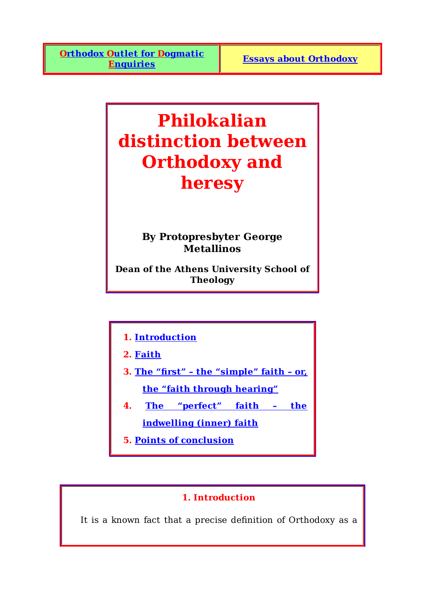# **Philokalian distinction between Orthodoxy and heresy**

# **By Protopresbyter George Metallinos**

**Dean of the Athens University School of Theology**

- **1. Introduction**
- **2. Faith**
- **3. The "first" the "simple" faith or, the "faith through hearing"**
- **4. The "perfect" faith the indwelling (inner) faith**
- **5. Points of conclusion**

# **1. Introduction**

It is a known fact that a precise definition of Orthodoxy as a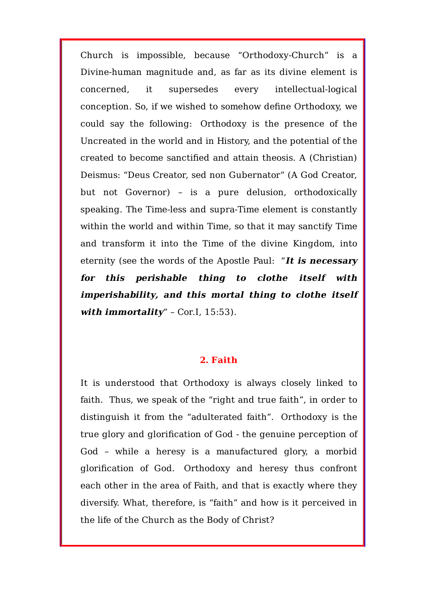Church is impossible, because "Orthodoxy-Church" is a Divine-human magnitude and, as far as its divine element is concerned, it supersedes every intellectual-logical conception. So, if we wished to somehow define Orthodoxy, we could say the following: Orthodoxy is the presence of the Uncreated in the world and in History, and the potential of the created to become sanctified and attain theosis. A (Christian) Deismus: "Deus Creator, sed non Gubernator" (A God Creator, but not Governor) – is a pure delusion, orthodoxically speaking. The Time-less and supra-Time element is constantly within the world and within Time, so that it may sanctify Time and transform it into the Time of the divine Kingdom, into eternity (see the words of the Apostle Paul: "**It is necessary for this perishable thing to clothe itself with imperishability, and this mortal thing to clothe itself** with immortality" - Cor.I, 15:53).

#### **2. Faith**

It is understood that Orthodoxy is always closely linked to faith. Thus, we speak of the "right and true faith", in order to distinguish it from the "adulterated faith". Orthodoxy is the true glory and glorification of God - the genuine perception of God – while a heresy is a manufactured glory, a morbid glorification of God. Orthodoxy and heresy thus confront each other in the area of Faith, and that is exactly where they diversify. What, therefore, is "faith" and how is it perceived in the life of the Church as the Body of Christ?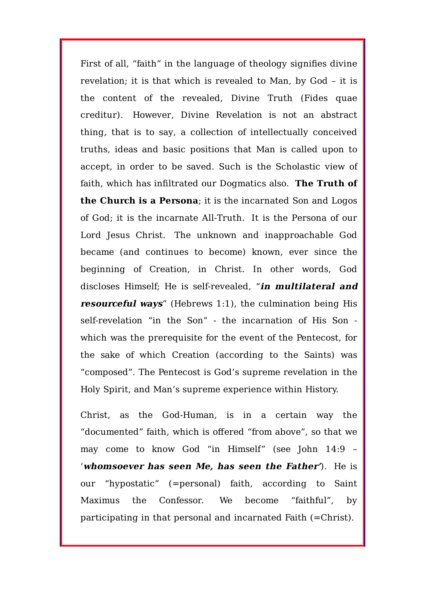First of all, "faith" in the language of theology signifies divine revelation; it is that which is revealed to Man, by God – it is the content of the revealed, Divine Truth (Fides quae creditur). However, Divine Revelation is not an abstract thing, that is to say, a collection of intellectually conceived truths, ideas and basic positions that Man is called upon to accept, in order to be saved. Such is the Scholastic view of faith, which has infiltrated our Dogmatics also. **The Truth of the Church is a Persona**; it is the incarnated Son and Logos of God; it is the incarnate All-Truth. It is the Persona of our Lord Jesus Christ. The unknown and inapproachable God became (and continues to become) known, ever since the beginning of Creation, in Christ. In other words, God discloses Himself; He is self-revealed, "**in multilateral and resourceful ways**" (Hebrews 1:1), the culmination being His self-revelation "in the Son" - the incarnation of His Son which was the prerequisite for the event of the Pentecost, for the sake of which Creation (according to the Saints) was "composed". The Pentecost is God's supreme revelation in the Holy Spirit, and Man's supreme experience within History.

Christ, as the God-Human, is in a certain way the "documented" faith, which is offered "from above", so that we may come to know God "in Himself" (see John 14:9 – '**whomsoever has seen Me, has seen the Father'**). He is our "hypostatic" (=personal) faith, according to Saint Maximus the Confessor. We become "faithful", by participating in that personal and incarnated Faith (=Christ).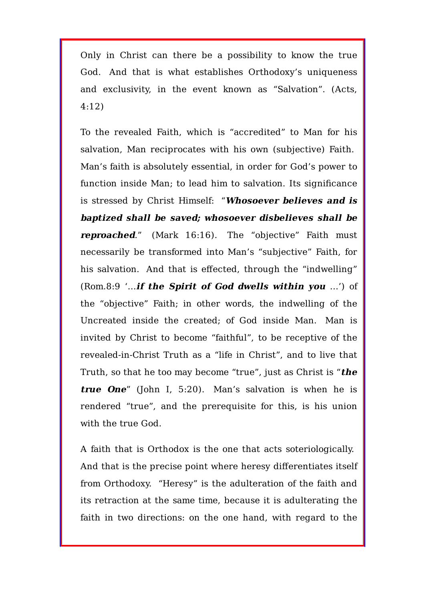Only in Christ can there be a possibility to know the true God. And that is what establishes Orthodoxy's uniqueness and exclusivity, in the event known as "Salvation". (Acts, 4:12)

To the revealed Faith, which is "accredited" to Man for his salvation, Man reciprocates with his own (subjective) Faith. Man's faith is absolutely essential, in order for God's power to function inside Man; to lead him to salvation. Its significance is stressed by Christ Himself: "**Whosoever believes and is baptized shall be saved; whosoever disbelieves shall be reproached.**" (Mark 16:16). The "objective" Faith must necessarily be transformed into Man's "subjective" Faith, for his salvation. And that is effected, through the "indwelling" (Rom.8:9 '…**if the Spirit of God dwells within you** …') of the "objective" Faith; in other words, the indwelling of the Uncreated inside the created; of God inside Man. Man is invited by Christ to become "faithful", to be receptive of the revealed-in-Christ Truth as a "life in Christ", and to live that Truth, so that he too may become "true", just as Christ is "**the true One**" (John I, 5:20). Man's salvation is when he is rendered "true", and the prerequisite for this, is his union with the true God.

A faith that is Orthodox is the one that acts soteriologically. And that is the precise point where heresy differentiates itself from Orthodoxy. "Heresy" is the adulteration of the faith and its retraction at the same time, because it is adulterating the faith in two directions: on the one hand, with regard to the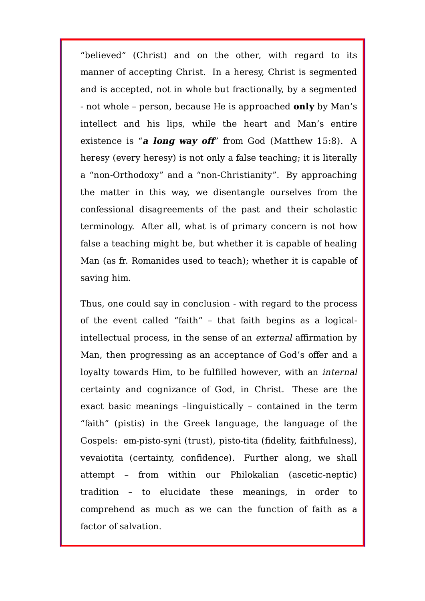"believed" (Christ) and on the other, with regard to its manner of accepting Christ. In a heresy, Christ is segmented and is accepted, not in whole but fractionally, by a segmented - not whole – person, because He is approached **only** by Man's intellect and his lips, while the heart and Man's entire existence is "**<sup>a</sup> long way off**" from God (Matthew 15:8). A heresy (every heresy) is not only a false teaching; it is literally a "non-Orthodoxy" and a "non-Christianity". By approaching the matter in this way, we disentangle ourselves from the confessional disagreements of the past and their scholastic terminology. After all, what is of primary concern is not how false a teaching might be, but whether it is capable of healing Man (as fr. Romanides used to teach); whether it is capable of saving him.

Thus, one could say in conclusion - with regard to the process of the event called "faith" – that faith begins as a logicalintellectual process, in the sense of an external affirmation by Man, then progressing as an acceptance of God's offer and a loyalty towards Him, to be fulfilled however, with an internal certainty and cognizance of God, in Christ. These are the exact basic meanings –linguistically – contained in the term "faith" (pistis) in the Greek language, the language of the Gospels: em-pisto-syni (trust), pisto-tita (fidelity, faithfulness), vevaiotita (certainty, confidence). Further along, we shall attempt – from within our Philokalian (ascetic-neptic) tradition – to elucidate these meanings, in order to comprehend as much as we can the function of faith as a factor of salvation.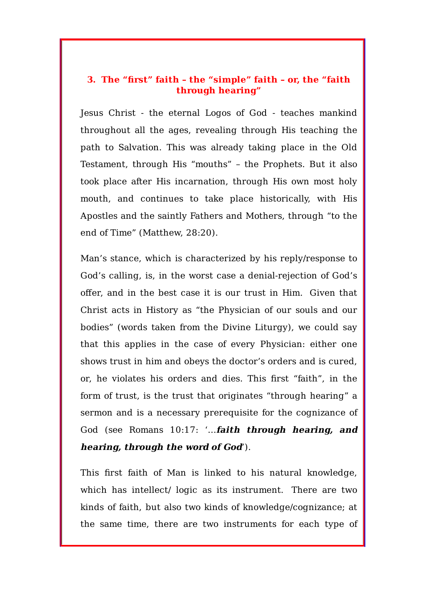## **3. The "first" faith – the "simple" faith – or, the "faith through hearing"**

Jesus Christ - the eternal Logos of God - teaches mankind throughout all the ages, revealing through His teaching the path to Salvation. This was already taking place in the Old Testament, through His "mouths" – the Prophets. But it also took place after His incarnation, through His own most holy mouth, and continues to take place historically, with His Apostles and the saintly Fathers and Mothers, through "to the end of Time" (Matthew, 28:20).

Man's stance, which is characterized by his reply/response to God's calling, is, in the worst case a denial-rejection of God's offer, and in the best case it is our trust in Him. Given that Christ acts in History as "the Physician of our souls and our bodies" (words taken from the Divine Liturgy), we could say that this applies in the case of every Physician: either one shows trust in him and obeys the doctor's orders and is cured, or, he violates his orders and dies. This first "faith", in the form of trust, is the trust that originates "through hearing" a sermon and is a necessary prerequisite for the cognizance of God (see Romans 10:17: '…**faith through hearing, and hearing, through the word of God**').

This first faith of Man is linked to his natural knowledge, which has intellect/ logic as its instrument. There are two kinds of faith, but also two kinds of knowledge/cognizance; at the same time, there are two instruments for each type of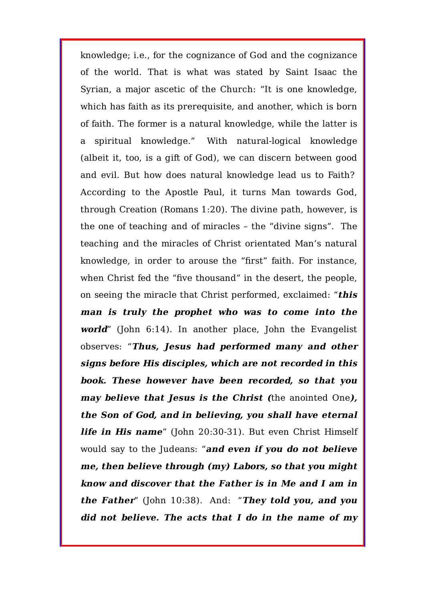knowledge; i.e., for the cognizance of God and the cognizance of the world. That is what was stated by Saint Isaac the Syrian, a major ascetic of the Church: "It is one knowledge, which has faith as its prerequisite, and another, which is born of faith. The former is a natural knowledge, while the latter is a spiritual knowledge." With natural-logical knowledge (albeit it, too, is a gift of God), we can discern between good and evil. But how does natural knowledge lead us to Faith? According to the Apostle Paul, it turns Man towards God, through Creation (Romans 1:20). The divine path, however, is the one of teaching and of miracles – the "divine signs". The teaching and the miracles of Christ orientated Man's natural knowledge, in order to arouse the "first" faith. For instance, when Christ fed the "five thousand" in the desert, the people, on seeing the miracle that Christ performed, exclaimed: "**this man is truly the prophet who was to come into the world**" (John 6:14). In another place, John the Evangelist observes: "**Thus, Jesus had performed many and other signs before His disciples, which are not recorded in this book. These however have been recorded, so that you may believe that Jesus is the Christ (**the anointed One**), the Son of God, and in believing, you shall have eternal life in His name**" (John 20:30-31). But even Christ Himself would say to the Judeans: "**and even if you do not believe me, then believe through (my) Labors, so that you might know and discover that the Father is in Me and I am in the Father**" (John 10:38). And: "**They told you, and you did not believe. The acts that I do in the name of my**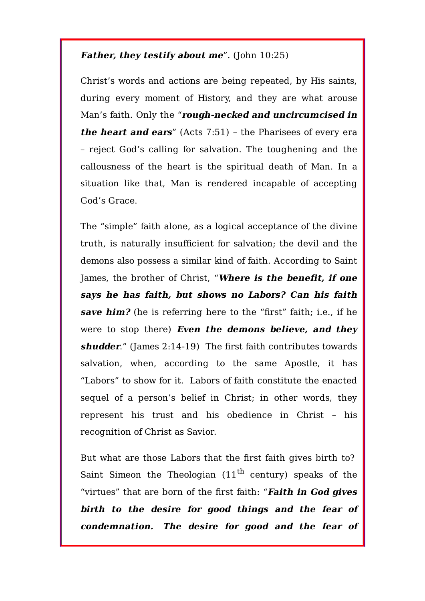## **Father, they testify about me**". (John 10:25)

Christ's words and actions are being repeated, by His saints, during every moment of History, and they are what arouse Man's faith. Only the "**rough-necked and uncircumcised in the heart and ears**" (Acts 7:51) – the Pharisees of every era – reject God's calling for salvation. The toughening and the callousness of the heart is the spiritual death of Man. In a situation like that, Man is rendered incapable of accepting God's Grace.

The "simple" faith alone, as a logical acceptance of the divine truth, is naturally insufficient for salvation; the devil and the demons also possess a similar kind of faith. According to Saint James, the brother of Christ, "**Where is the benefit, if one says he has faith, but shows no Labors? Can his faith save him?** (he is referring here to the "first" faith; i.e., if he were to stop there) **Even the demons believe, and they shudder**." (James 2:14-19) The first faith contributes towards salvation, when, according to the same Apostle, it has "Labors" to show for it. Labors of faith constitute the enacted sequel of a person's belief in Christ; in other words, they represent his trust and his obedience in Christ – his recognition of Christ as Savior.

But what are those Labors that the first faith gives birth to? Saint Simeon the Theologian  $(11<sup>th</sup>$  century) speaks of the "virtues" that are born of the first faith: "**Faith in God gives birth to the desire for good things and the fear of condemnation. The desire for good and the fear of**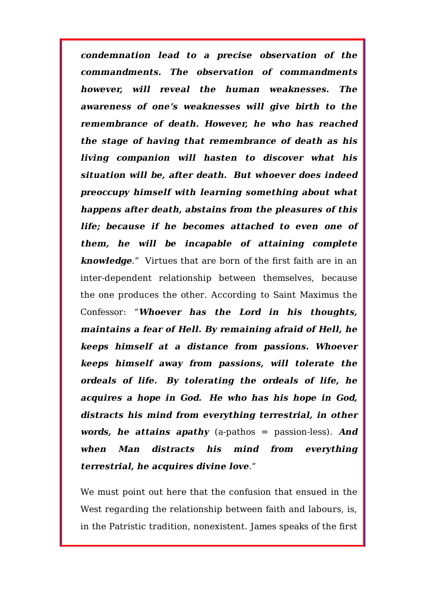**condemnation lead to <sup>a</sup> precise observation of the commandments. The observation of commandments however, will reveal the human weaknesses. The awareness of one's weaknesses will give birth to the remembrance of death. However, he who has reached the stage of having that remembrance of death as his living companion will hasten to discover what his situation will be, after death. But whoever does indeed preoccupy himself with learning something about what happens after death, abstains from the pleasures of this life; because if he becomes attached to even one of them, he will be incapable of attaining complete knowledge**." Virtues that are born of the first faith are in an inter-dependent relationship between themselves, because the one produces the other. According to Saint Maximus the Confessor: "**Whoever has the Lord in his thoughts, maintains a fear of Hell. By remaining afraid of Hell, he keeps himself at a distance from passions. Whoever keeps himself away from passions, will tolerate the ordeals of life. By tolerating the ordeals of life, he acquires <sup>a</sup> hope in God. He who has his hope in God, distracts his mind from everything terrestrial, in other words, he attains apathy** (a-pathos = passion-less). **And when Man distracts his mind from everything terrestrial, he acquires divine love**."

We must point out here that the confusion that ensued in the West regarding the relationship between faith and labours, is, in the Patristic tradition, nonexistent. James speaks of the first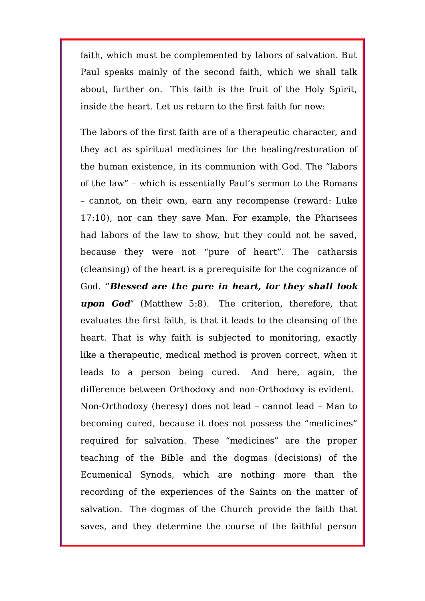faith, which must be complemented by labors of salvation. But Paul speaks mainly of the second faith, which we shall talk about, further on. This faith is the fruit of the Holy Spirit, inside the heart. Let us return to the first faith for now:

The labors of the first faith are of a therapeutic character, and they act as spiritual medicines for the healing/restoration of the human existence, in its communion with God. The "labors of the law" – which is essentially Paul's sermon to the Romans – cannot, on their own, earn any recompense (reward: Luke 17:10), nor can they save Man. For example, the Pharisees had labors of the law to show, but they could not be saved, because they were not "pure of heart". The catharsis (cleansing) of the heart is a prerequisite for the cognizance of God. "**Blessed are the pure in heart, for they shall look upon God**" (Matthew 5:8). The criterion, therefore, that evaluates the first faith, is that it leads to the cleansing of the heart. That is why faith is subjected to monitoring, exactly like a therapeutic, medical method is proven correct, when it leads to a person being cured. And here, again, the difference between Orthodoxy and non-Orthodoxy is evident. Non-Orthodoxy (heresy) does not lead – cannot lead – Man to becoming cured, because it does not possess the "medicines" required for salvation. These "medicines" are the proper teaching of the Bible and the dogmas (decisions) of the Ecumenical Synods, which are nothing more than the recording of the experiences of the Saints on the matter of salvation. The dogmas of the Church provide the faith that saves, and they determine the course of the faithful person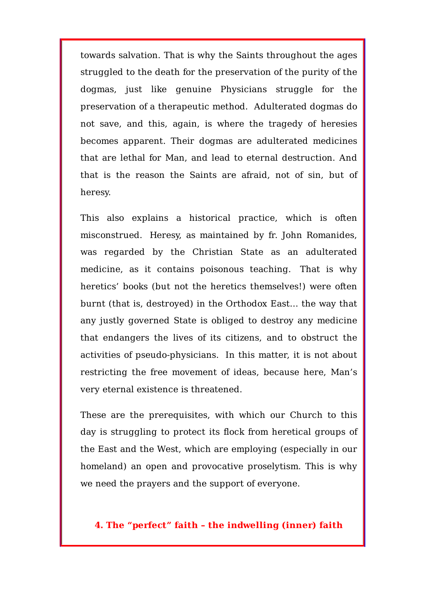towards salvation. That is why the Saints throughout the ages struggled to the death for the preservation of the purity of the dogmas, just like genuine Physicians struggle for the preservation of a therapeutic method. Adulterated dogmas do not save, and this, again, is where the tragedy of heresies becomes apparent. Their dogmas are adulterated medicines that are lethal for Man, and lead to eternal destruction. And that is the reason the Saints are afraid, not of sin, but of heresy.

This also explains a historical practice, which is often misconstrued. Heresy, as maintained by fr. John Romanides, was regarded by the Christian State as an adulterated medicine, as it contains poisonous teaching. That is why heretics' books (but not the heretics themselves!) were often burnt (that is, destroyed) in the Orthodox East… the way that any justly governed State is obliged to destroy any medicine that endangers the lives of its citizens, and to obstruct the activities of pseudo-physicians. In this matter, it is not about restricting the free movement of ideas, because here, Man's very eternal existence is threatened.

These are the prerequisites, with which our Church to this day is struggling to protect its flock from heretical groups of the East and the West, which are employing (especially in our homeland) an open and provocative proselytism. This is why we need the prayers and the support of everyone.

## **4. The "perfect" faith – the indwelling (inner) faith**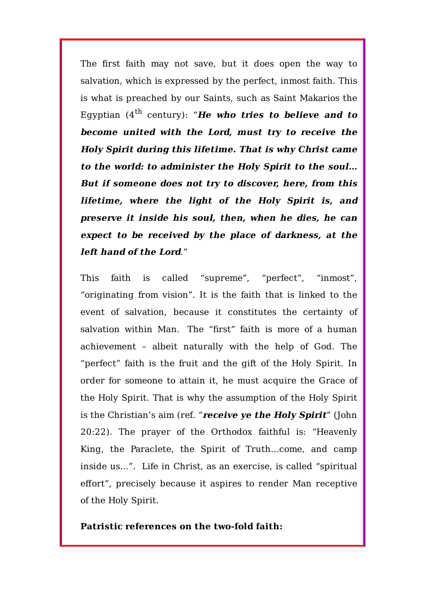The first faith may not save, but it does open the way to salvation, which is expressed by the perfect, inmost faith. This is what is preached by our Saints, such as Saint Makarios the Egyptian  $(4^{th}$  century): "**He who tries to believe and to become united with the Lord, must try to receive the Holy Spirit during this lifetime. That is why Christ came to the world: to administer the Holy Spirit to the soul… But if someone does not try to discover, here, from this lifetime, where the light of the Holy Spirit is, and preserve it inside his soul, then, when he dies, he can expect to be received by the place of darkness, at the left hand of the Lord**."

This faith is called "supreme", "perfect", "inmost", "originating from vision". It is the faith that is linked to the event of salvation, because it constitutes the certainty of salvation within Man. The "first" faith is more of a human achievement – albeit naturally with the help of God. The "perfect" faith is the fruit and the gift of the Holy Spirit. In order for someone to attain it, he must acquire the Grace of the Holy Spirit. That is why the assumption of the Holy Spirit is the Christian's aim (ref. "**receive ye the Holy Spirit**" (John 20:22). The prayer of the Orthodox faithful is: "Heavenly King, the Paraclete, the Spirit of Truth…come, and camp inside us…". Life in Christ, as an exercise, is called "spiritual effort", precisely because it aspires to render Man receptive of the Holy Spirit.

#### **Patristic references on the two-fold faith:**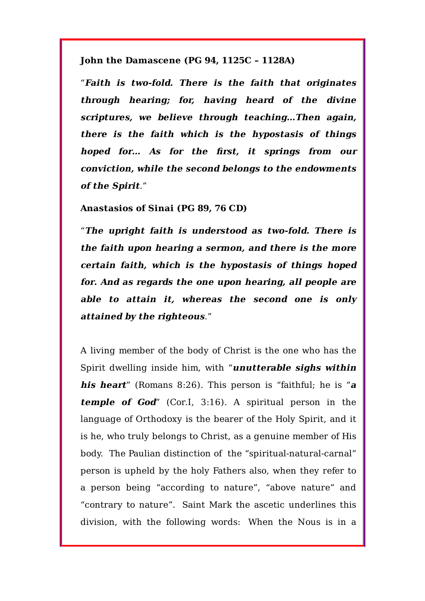**John the Damascene (PG 94, 1125C – 1128A)**

"**Faith is two-fold. There is the faith that originates through hearing; for, having heard of the divine scriptures, we believe through teaching…Then again, there is the faith which is the hypostasis of things hoped for… As for the first, it springs from our conviction, while the second belongs to the endowments of the Spirit**."

**Anastasios of Sinai (PG 89, 76 CD)**

"**The upright faith is understood as two-fold. There is the faith upon hearing a sermon, and there is the more certain faith, which is the hypostasis of things hoped for. And as regards the one upon hearing, all people are able to attain it, whereas the second one is only attained by the righteous**."

A living member of the body of Christ is the one who has the Spirit dwelling inside him, with "**unutterable sighs within his heart**" (Romans 8:26). This person is "faithful; he is "**<sup>a</sup> temple of God**" (Cor.I, 3:16). A spiritual person in the language of Orthodoxy is the bearer of the Holy Spirit, and it is he, who truly belongs to Christ, as a genuine member of His body. The Paulian distinction of the "spiritual-natural-carnal" person is upheld by the holy Fathers also, when they refer to a person being "according to nature", "above nature" and "contrary to nature". Saint Mark the ascetic underlines this division, with the following words: When the Nous is in a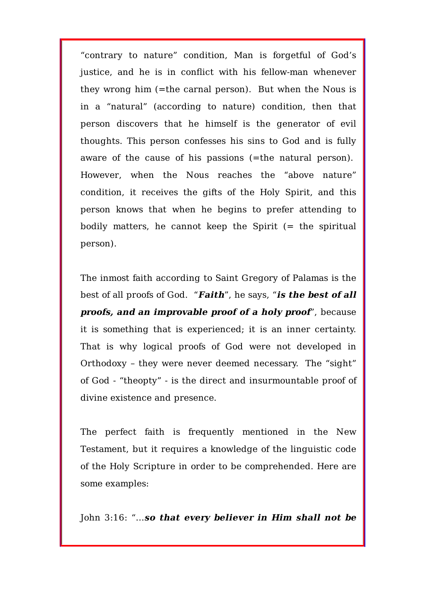"contrary to nature" condition, Man is forgetful of God's justice, and he is in conflict with his fellow-man whenever they wrong him (=the carnal person). But when the Nous is in a "natural" (according to nature) condition, then that person discovers that he himself is the generator of evil thoughts. This person confesses his sins to God and is fully aware of the cause of his passions (=the natural person). However, when the Nous reaches the "above nature" condition, it receives the gifts of the Holy Spirit, and this person knows that when he begins to prefer attending to bodily matters, he cannot keep the Spirit  $(=$  the spiritual person).

The inmost faith according to Saint Gregory of Palamas is the best of all proofs of God. "**Faith**", he says, "**is the best of all proofs, and an improvable proof of a holy proof**", because it is something that is experienced; it is an inner certainty. That is why logical proofs of God were not developed in Orthodoxy – they were never deemed necessary. The "sight" of God - "theopty" - is the direct and insurmountable proof of divine existence and presence.

The perfect faith is frequently mentioned in the New Testament, but it requires a knowledge of the linguistic code of the Holy Scripture in order to be comprehended. Here are some examples:

John 3:16: "…**so that every believer in Him shall not be**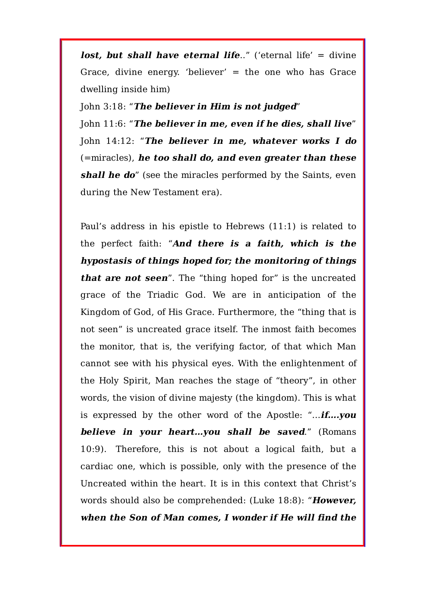**lost, but shall have eternal life**.." ('eternal life' = divine Grace, divine energy. 'believer' = the one who has Grace dwelling inside him)

John 3:18: "**The believer in Him is not judged**"

John 11:6: "**The believer in me, even if he dies, shall live**" John 14:12: "**The believer in me, whatever works I do** (=miracles), **he too shall do, and even greater than these shall he do**" (see the miracles performed by the Saints, even during the New Testament era).

Paul's address in his epistle to Hebrews (11:1) is related to the perfect faith: "**And there is <sup>a</sup> faith, which is the hypostasis of things hoped for; the monitoring of things that are not seen**". The "thing hoped for" is the uncreated grace of the Triadic God. We are in anticipation of the Kingdom of God, of His Grace. Furthermore, the "thing that is not seen" is uncreated grace itself. The inmost faith becomes the monitor, that is, the verifying factor, of that which Man cannot see with his physical eyes. With the enlightenment of the Holy Spirit, Man reaches the stage of "theory", in other words, the vision of divine majesty (the kingdom). This is what is expressed by the other word of the Apostle: "…**if….you believe in your heart…you shall be saved**." (Romans 10:9). Therefore, this is not about a logical faith, but a cardiac one, which is possible, only with the presence of the Uncreated within the heart. It is in this context that Christ's words should also be comprehended: (Luke 18:8): "**However, when the Son of Man comes, I wonder if He will find the**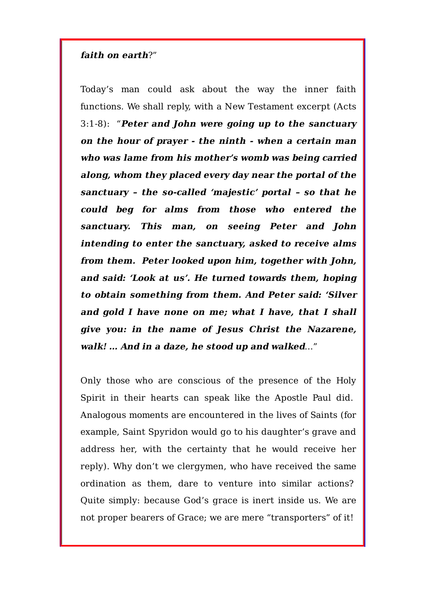#### **faith on earth**?"

Today's man could ask about the way the inner faith functions. We shall reply, with a New Testament excerpt (Acts 3:1-8): "**Peter and John were going up to the sanctuary on the hour of prayer - the ninth - when a certain man who was lame from his mother's womb was being carried along, whom they placed every day near the portal of the sanctuary – the so-called 'majestic' portal – so that he could beg for alms from those who entered the sanctuary. This man, on seeing Peter and John intending to enter the sanctuary, asked to receive alms from them. Peter looked upon him, together with John, and said: 'Look at us'. He turned towards them, hoping to obtain something from them. And Peter said: 'Silver and gold I have none on me; what I have, that I shall give you: in the name of Jesus Christ the Nazarene, walk! … And in a daze, he stood up and walked**…"

Only those who are conscious of the presence of the Holy Spirit in their hearts can speak like the Apostle Paul did. Analogous moments are encountered in the lives of Saints (for example, Saint Spyridon would go to his daughter's grave and address her, with the certainty that he would receive her reply). Why don't we clergymen, who have received the same ordination as them, dare to venture into similar actions? Quite simply: because God's grace is inert inside us. We are not proper bearers of Grace; we are mere "transporters" of it!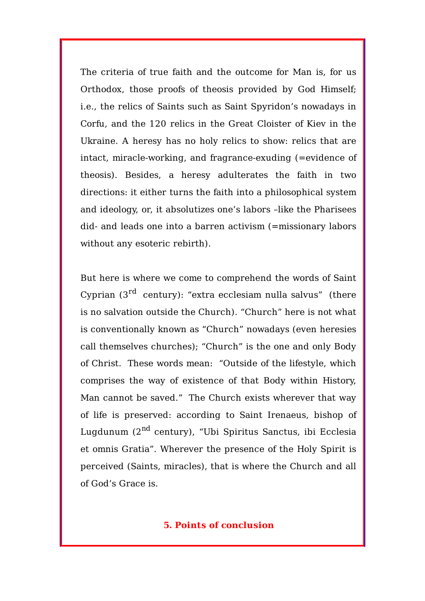The criteria of true faith and the outcome for Man is, for us Orthodox, those proofs of theosis provided by God Himself; i.e., the relics of Saints such as Saint Spyridon's nowadays in Corfu, and the 120 relics in the Great Cloister of Kiev in the Ukraine. A heresy has no holy relics to show: relics that are intact, miracle-working, and fragrance-exuding (=evidence of theosis). Besides, a heresy adulterates the faith in two directions: it either turns the faith into a philosophical system and ideology, or, it absolutizes one's labors –like the Pharisees did- and leads one into a barren activism (=missionary labors without any esoteric rebirth).

But here is where we come to comprehend the words of Saint Cyprian  $3^{rd}$  century): "extra ecclesiam nulla salvus" (there is no salvation outside the Church). "Church" here is not what is conventionally known as "Church" nowadays (even heresies call themselves churches); "Church" is the one and only Body of Christ. These words mean: "Outside of the lifestyle, which comprises the way of existence of that Body within History, Man cannot be saved." The Church exists wherever that way of life is preserved: according to Saint Irenaeus, bishop of Lugdunum (2<sup>nd</sup> century), "Ubi Spiritus Sanctus, ibi Ecclesia et omnis Gratia". Wherever the presence of the Holy Spirit is perceived (Saints, miracles), that is where the Church and all of God's Grace is.

#### **5. Points of conclusion**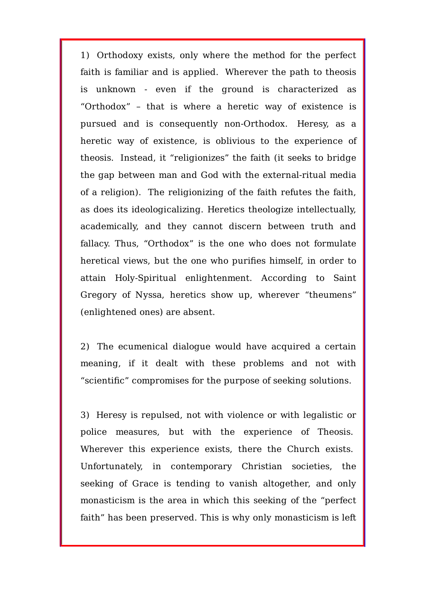1) Orthodoxy exists, only where the method for the perfect faith is familiar and is applied. Wherever the path to theosis is unknown - even if the ground is characterized as "Orthodox" – that is where a heretic way of existence is pursued and is consequently non-Orthodox. Heresy, as a heretic way of existence, is oblivious to the experience of theosis. Instead, it "religionizes" the faith (it seeks to bridge the gap between man and God with the external-ritual media of a religion). The religionizing of the faith refutes the faith, as does its ideologicalizing. Heretics theologize intellectually, academically, and they cannot discern between truth and fallacy. Thus, "Orthodox" is the one who does not formulate heretical views, but the one who purifies himself, in order to attain Holy-Spiritual enlightenment. According to Saint Gregory of Nyssa, heretics show up, wherever "theumens" (enlightened ones) are absent.

2) The ecumenical dialogue would have acquired a certain meaning, if it dealt with these problems and not with "scientific" compromises for the purpose of seeking solutions.

3) Heresy is repulsed, not with violence or with legalistic or police measures, but with the experience of Theosis. Wherever this experience exists, there the Church exists. Unfortunately, in contemporary Christian societies, the seeking of Grace is tending to vanish altogether, and only monasticism is the area in which this seeking of the "perfect faith" has been preserved. This is why only monasticism is left